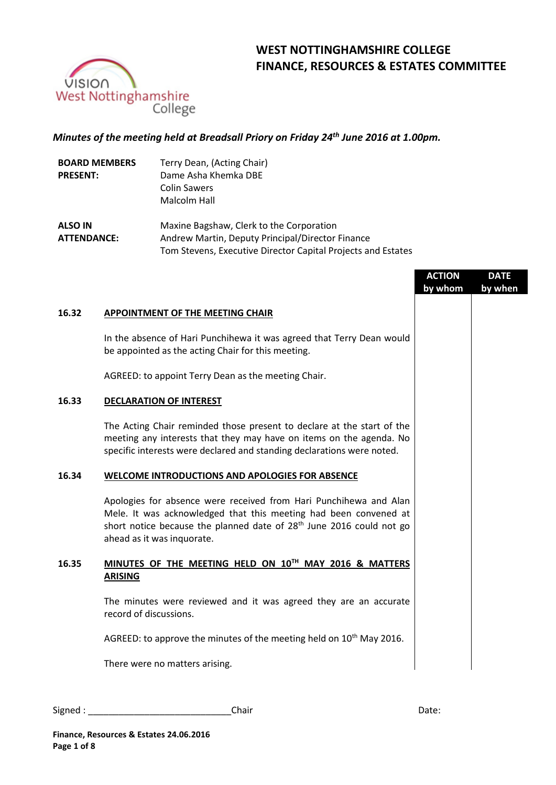

# **WEST NOTTINGHAMSHIRE COLLEGE FINANCE, RESOURCES & ESTATES COMMITTEE**

## *Minutes of the meeting held at Breadsall Priory on Friday 24th June 2016 at 1.00pm.*

| <b>BOARD MEMBERS</b><br><b>PRESENT:</b> | Terry Dean, (Acting Chair)<br>Dame Asha Khemka DBE<br><b>Colin Sawers</b><br>Malcolm Hall                                                                    |
|-----------------------------------------|--------------------------------------------------------------------------------------------------------------------------------------------------------------|
| <b>ALSO IN</b><br><b>ATTENDANCE:</b>    | Maxine Bagshaw, Clerk to the Corporation<br>Andrew Martin, Deputy Principal/Director Finance<br>Tom Stevens, Executive Director Capital Projects and Estates |

|       |                                                                                                                                                                                                                                                         | <b>ACTION</b> | <b>DATE</b> |
|-------|---------------------------------------------------------------------------------------------------------------------------------------------------------------------------------------------------------------------------------------------------------|---------------|-------------|
|       |                                                                                                                                                                                                                                                         | by whom       | by when     |
| 16.32 | <b>APPOINTMENT OF THE MEETING CHAIR</b>                                                                                                                                                                                                                 |               |             |
|       | In the absence of Hari Punchihewa it was agreed that Terry Dean would<br>be appointed as the acting Chair for this meeting.                                                                                                                             |               |             |
|       | AGREED: to appoint Terry Dean as the meeting Chair.                                                                                                                                                                                                     |               |             |
| 16.33 | <b>DECLARATION OF INTEREST</b>                                                                                                                                                                                                                          |               |             |
|       | The Acting Chair reminded those present to declare at the start of the<br>meeting any interests that they may have on items on the agenda. No<br>specific interests were declared and standing declarations were noted.                                 |               |             |
| 16.34 | WELCOME INTRODUCTIONS AND APOLOGIES FOR ABSENCE                                                                                                                                                                                                         |               |             |
|       | Apologies for absence were received from Hari Punchihewa and Alan<br>Mele. It was acknowledged that this meeting had been convened at<br>short notice because the planned date of 28 <sup>th</sup> June 2016 could not go<br>ahead as it was inquorate. |               |             |
| 16.35 | MINUTES OF THE MEETING HELD ON 10TH MAY 2016 & MATTERS<br><b>ARISING</b>                                                                                                                                                                                |               |             |
|       | The minutes were reviewed and it was agreed they are an accurate<br>record of discussions.                                                                                                                                                              |               |             |
|       | AGREED: to approve the minutes of the meeting held on 10 <sup>th</sup> May 2016.                                                                                                                                                                        |               |             |
|       | There were no matters arising.                                                                                                                                                                                                                          |               |             |
|       |                                                                                                                                                                                                                                                         |               |             |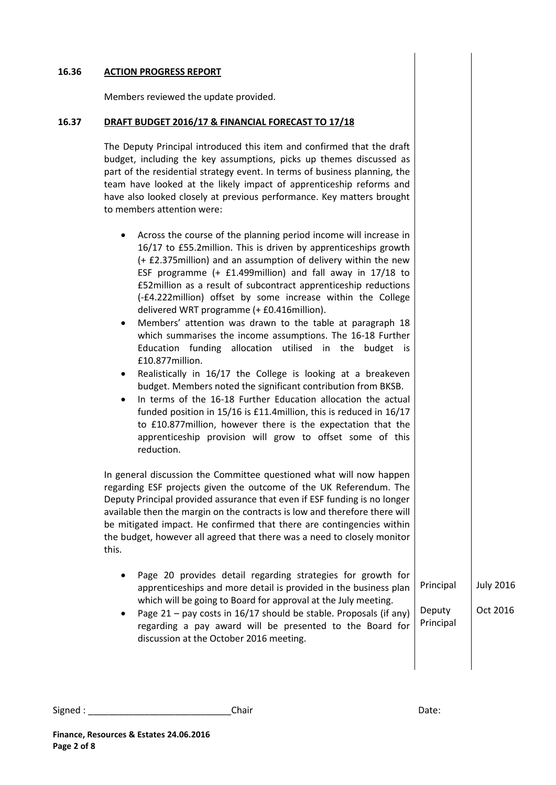#### **16.36 ACTION PROGRESS REPORT**

Members reviewed the update provided.

#### **16.37 DRAFT BUDGET 2016/17 & FINANCIAL FORECAST TO 17/18**

The Deputy Principal introduced this item and confirmed that the draft budget, including the key assumptions, picks up themes discussed as part of the residential strategy event. In terms of business planning, the team have looked at the likely impact of apprenticeship reforms and have also looked closely at previous performance. Key matters brought to members attention were:

- Across the course of the planning period income will increase in 16/17 to £55.2million. This is driven by apprenticeships growth (+ £2.375million) and an assumption of delivery within the new ESF programme (+ £1.499million) and fall away in 17/18 to £52million as a result of subcontract apprenticeship reductions (-£4.222million) offset by some increase within the College delivered WRT programme (+ £0.416million).
- Members' attention was drawn to the table at paragraph 18 which summarises the income assumptions. The 16-18 Further Education funding allocation utilised in the budget is £10.877million.
- Realistically in 16/17 the College is looking at a breakeven budget. Members noted the significant contribution from BKSB.
- In terms of the 16-18 Further Education allocation the actual funded position in 15/16 is £11.4million, this is reduced in 16/17 to £10.877million, however there is the expectation that the apprenticeship provision will grow to offset some of this reduction.

In general discussion the Committee questioned what will now happen regarding ESF projects given the outcome of the UK Referendum. The Deputy Principal provided assurance that even if ESF funding is no longer available then the margin on the contracts is low and therefore there will be mitigated impact. He confirmed that there are contingencies within the budget, however all agreed that there was a need to closely monitor this.

- Page 20 provides detail regarding strategies for growth for apprenticeships and more detail is provided in the business plan which will be going to Board for approval at the July meeting. Principal July 2016
- Page 21 pay costs in 16/17 should be stable. Proposals (if any) regarding a pay award will be presented to the Board for discussion at the October 2016 meeting. Deputy Principal Oct 2016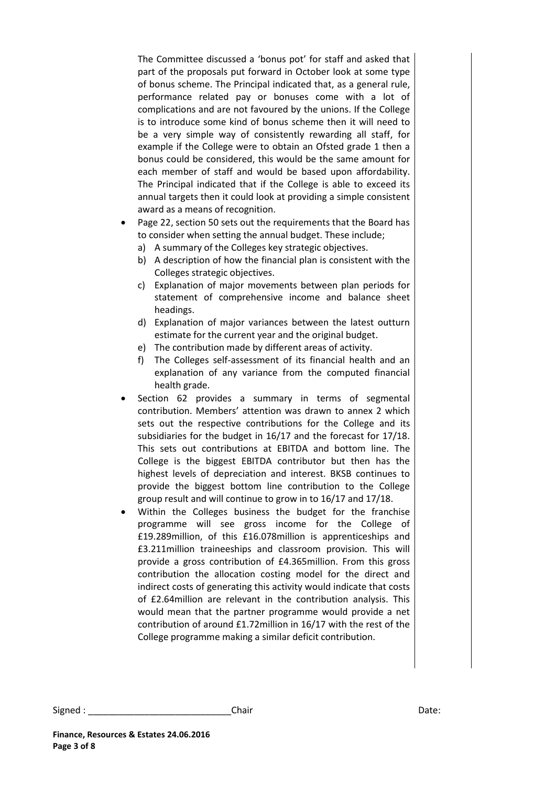The Committee discussed a 'bonus pot' for staff and asked that part of the proposals put forward in October look at some type of bonus scheme. The Principal indicated that, as a general rule, performance related pay or bonuses come with a lot of complications and are not favoured by the unions. If the College is to introduce some kind of bonus scheme then it will need to be a very simple way of consistently rewarding all staff, for example if the College were to obtain an Ofsted grade 1 then a bonus could be considered, this would be the same amount for each member of staff and would be based upon affordability. The Principal indicated that if the College is able to exceed its annual targets then it could look at providing a simple consistent award as a means of recognition.

- Page 22, section 50 sets out the requirements that the Board has to consider when setting the annual budget. These include;
	- a) A summary of the Colleges key strategic objectives.
	- b) A description of how the financial plan is consistent with the Colleges strategic objectives.
	- c) Explanation of major movements between plan periods for statement of comprehensive income and balance sheet headings.
	- d) Explanation of major variances between the latest outturn estimate for the current year and the original budget.
	- e) The contribution made by different areas of activity.
	- f) The Colleges self-assessment of its financial health and an explanation of any variance from the computed financial health grade.
- Section 62 provides a summary in terms of segmental contribution. Members' attention was drawn to annex 2 which sets out the respective contributions for the College and its subsidiaries for the budget in 16/17 and the forecast for 17/18. This sets out contributions at EBITDA and bottom line. The College is the biggest EBITDA contributor but then has the highest levels of depreciation and interest. BKSB continues to provide the biggest bottom line contribution to the College group result and will continue to grow in to 16/17 and 17/18.
- Within the Colleges business the budget for the franchise programme will see gross income for the College of £19.289million, of this £16.078million is apprenticeships and £3.211million traineeships and classroom provision. This will provide a gross contribution of £4.365million. From this gross contribution the allocation costing model for the direct and indirect costs of generating this activity would indicate that costs of £2.64million are relevant in the contribution analysis. This would mean that the partner programme would provide a net contribution of around £1.72million in 16/17 with the rest of the College programme making a similar deficit contribution.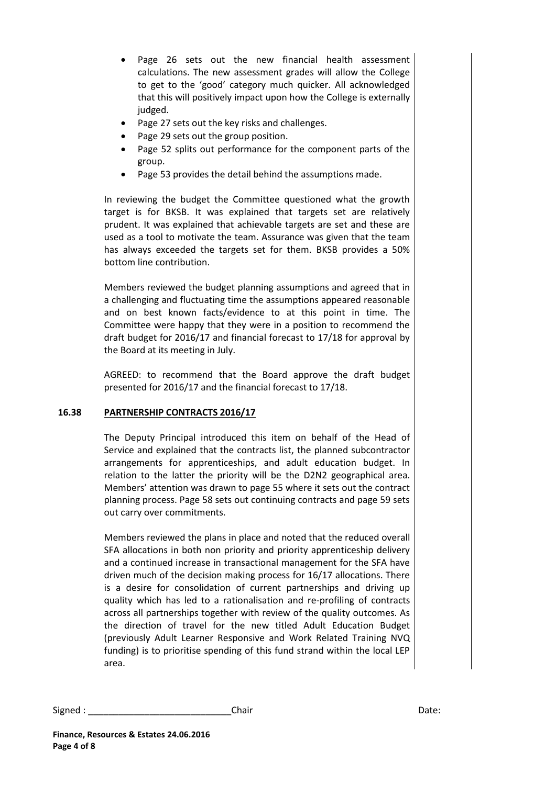- Page 26 sets out the new financial health assessment calculations. The new assessment grades will allow the College to get to the 'good' category much quicker. All acknowledged that this will positively impact upon how the College is externally judged.
- Page 27 sets out the key risks and challenges.
- Page 29 sets out the group position.
- Page 52 splits out performance for the component parts of the group.
- Page 53 provides the detail behind the assumptions made.

In reviewing the budget the Committee questioned what the growth target is for BKSB. It was explained that targets set are relatively prudent. It was explained that achievable targets are set and these are used as a tool to motivate the team. Assurance was given that the team has always exceeded the targets set for them. BKSB provides a 50% bottom line contribution.

Members reviewed the budget planning assumptions and agreed that in a challenging and fluctuating time the assumptions appeared reasonable and on best known facts/evidence to at this point in time. The Committee were happy that they were in a position to recommend the draft budget for 2016/17 and financial forecast to 17/18 for approval by the Board at its meeting in July.

AGREED: to recommend that the Board approve the draft budget presented for 2016/17 and the financial forecast to 17/18.

## **16.38 PARTNERSHIP CONTRACTS 2016/17**

The Deputy Principal introduced this item on behalf of the Head of Service and explained that the contracts list, the planned subcontractor arrangements for apprenticeships, and adult education budget. In relation to the latter the priority will be the D2N2 geographical area. Members' attention was drawn to page 55 where it sets out the contract planning process. Page 58 sets out continuing contracts and page 59 sets out carry over commitments.

Members reviewed the plans in place and noted that the reduced overall SFA allocations in both non priority and priority apprenticeship delivery and a continued increase in transactional management for the SFA have driven much of the decision making process for 16/17 allocations. There is a desire for consolidation of current partnerships and driving up quality which has led to a rationalisation and re-profiling of contracts across all partnerships together with review of the quality outcomes. As the direction of travel for the new titled Adult Education Budget (previously Adult Learner Responsive and Work Related Training NVQ funding) is to prioritise spending of this fund strand within the local LEP area.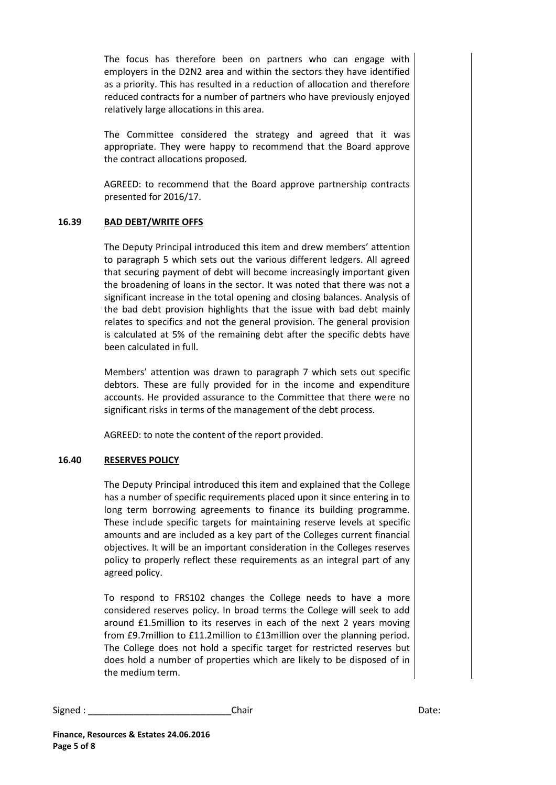The focus has therefore been on partners who can engage with employers in the D2N2 area and within the sectors they have identified as a priority. This has resulted in a reduction of allocation and therefore reduced contracts for a number of partners who have previously enjoyed relatively large allocations in this area.

The Committee considered the strategy and agreed that it was appropriate. They were happy to recommend that the Board approve the contract allocations proposed.

AGREED: to recommend that the Board approve partnership contracts presented for 2016/17.

### **16.39 BAD DEBT/WRITE OFFS**

The Deputy Principal introduced this item and drew members' attention to paragraph 5 which sets out the various different ledgers. All agreed that securing payment of debt will become increasingly important given the broadening of loans in the sector. It was noted that there was not a significant increase in the total opening and closing balances. Analysis of the bad debt provision highlights that the issue with bad debt mainly relates to specifics and not the general provision. The general provision is calculated at 5% of the remaining debt after the specific debts have been calculated in full.

Members' attention was drawn to paragraph 7 which sets out specific debtors. These are fully provided for in the income and expenditure accounts. He provided assurance to the Committee that there were no significant risks in terms of the management of the debt process.

AGREED: to note the content of the report provided.

## **16.40 RESERVES POLICY**

The Deputy Principal introduced this item and explained that the College has a number of specific requirements placed upon it since entering in to long term borrowing agreements to finance its building programme. These include specific targets for maintaining reserve levels at specific amounts and are included as a key part of the Colleges current financial objectives. It will be an important consideration in the Colleges reserves policy to properly reflect these requirements as an integral part of any agreed policy.

To respond to FRS102 changes the College needs to have a more considered reserves policy. In broad terms the College will seek to add around £1.5million to its reserves in each of the next 2 years moving from £9.7million to £11.2million to £13million over the planning period. The College does not hold a specific target for restricted reserves but does hold a number of properties which are likely to be disposed of in the medium term.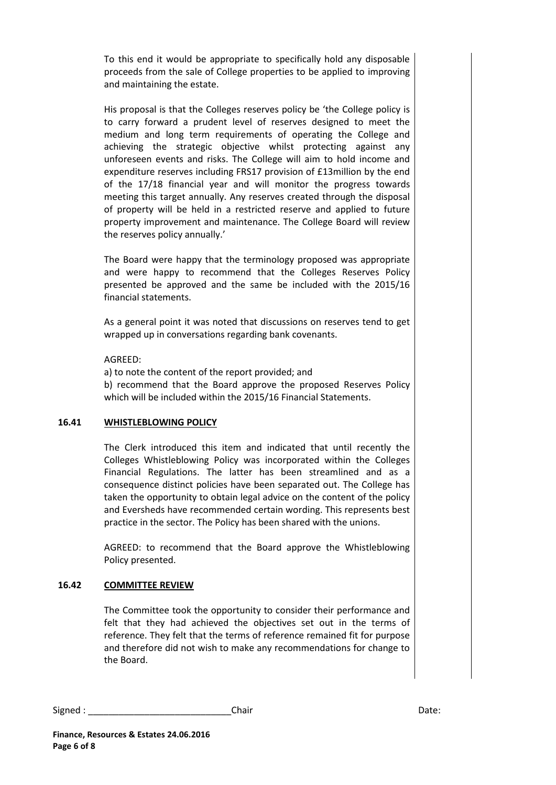To this end it would be appropriate to specifically hold any disposable proceeds from the sale of College properties to be applied to improving and maintaining the estate.

His proposal is that the Colleges reserves policy be 'the College policy is to carry forward a prudent level of reserves designed to meet the medium and long term requirements of operating the College and achieving the strategic objective whilst protecting against any unforeseen events and risks. The College will aim to hold income and expenditure reserves including FRS17 provision of £13million by the end of the 17/18 financial year and will monitor the progress towards meeting this target annually. Any reserves created through the disposal of property will be held in a restricted reserve and applied to future property improvement and maintenance. The College Board will review the reserves policy annually.'

The Board were happy that the terminology proposed was appropriate and were happy to recommend that the Colleges Reserves Policy presented be approved and the same be included with the 2015/16 financial statements.

As a general point it was noted that discussions on reserves tend to get wrapped up in conversations regarding bank covenants.

#### AGREED:

a) to note the content of the report provided; and b) recommend that the Board approve the proposed Reserves Policy which will be included within the 2015/16 Financial Statements.

#### **16.41 WHISTLEBLOWING POLICY**

The Clerk introduced this item and indicated that until recently the Colleges Whistleblowing Policy was incorporated within the Colleges Financial Regulations. The latter has been streamlined and as a consequence distinct policies have been separated out. The College has taken the opportunity to obtain legal advice on the content of the policy and Eversheds have recommended certain wording. This represents best practice in the sector. The Policy has been shared with the unions.

AGREED: to recommend that the Board approve the Whistleblowing Policy presented.

#### **16.42 COMMITTEE REVIEW**

The Committee took the opportunity to consider their performance and felt that they had achieved the objectives set out in the terms of reference. They felt that the terms of reference remained fit for purpose and therefore did not wish to make any recommendations for change to the Board.

| Signed | Chair | ,,,,,<br>Dale. |
|--------|-------|----------------|
|--------|-------|----------------|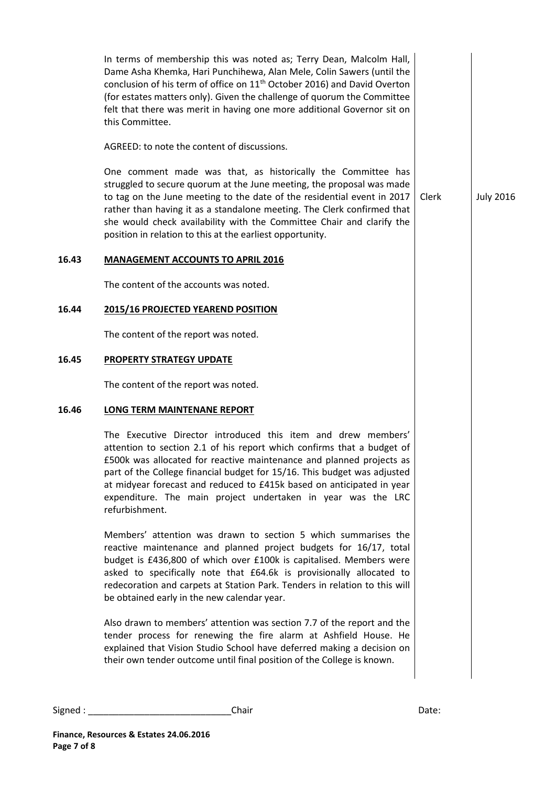In terms of membership this was noted as; Terry Dean, Malcolm Hall, Dame Asha Khemka, Hari Punchihewa, Alan Mele, Colin Sawers (until the conclusion of his term of office on 11<sup>th</sup> October 2016) and David Overton (for estates matters only). Given the challenge of quorum the Committee felt that there was merit in having one more additional Governor sit on this Committee. AGREED: to note the content of discussions. One comment made was that, as historically the Committee has struggled to secure quorum at the June meeting, the proposal was made to tag on the June meeting to the date of the residential event in 2017 rather than having it as a standalone meeting. The Clerk confirmed that she would check availability with the Committee Chair and clarify the position in relation to this at the earliest opportunity. Clerk July 2016 **16.43 MANAGEMENT ACCOUNTS TO APRIL 2016**  The content of the accounts was noted. **16.44 2015/16 PROJECTED YEAREND POSITION**  The content of the report was noted. **16.45 PROPERTY STRATEGY UPDATE** The content of the report was noted. **16.46 LONG TERM MAINTENANE REPORT** The Executive Director introduced this item and drew members' attention to section 2.1 of his report which confirms that a budget of £500k was allocated for reactive maintenance and planned projects as part of the College financial budget for 15/16. This budget was adjusted at midyear forecast and reduced to £415k based on anticipated in year expenditure. The main project undertaken in year was the LRC refurbishment. Members' attention was drawn to section 5 which summarises the reactive maintenance and planned project budgets for 16/17, total budget is £436,800 of which over £100k is capitalised. Members were asked to specifically note that £64.6k is provisionally allocated to redecoration and carpets at Station Park. Tenders in relation to this will be obtained early in the new calendar year. Also drawn to members' attention was section 7.7 of the report and the tender process for renewing the fire alarm at Ashfield House. He explained that Vision Studio School have deferred making a decision on their own tender outcome until final position of the College is known.